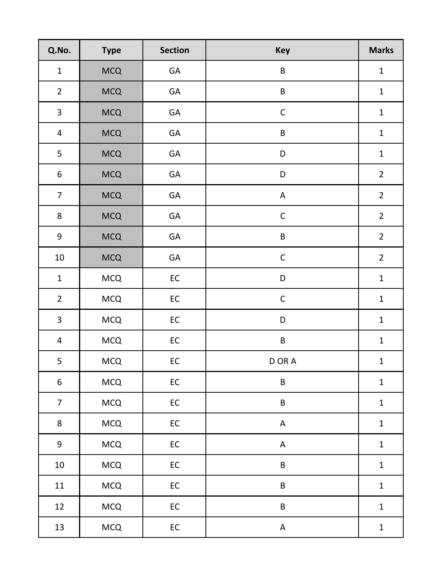| Q.No.                   | <b>Type</b> | <b>Section</b> | <b>Key</b>  | <b>Marks</b>   |
|-------------------------|-------------|----------------|-------------|----------------|
| $\mathbf{1}$            | <b>MCQ</b>  | GA             | B           | $\mathbf{1}$   |
| $\overline{2}$          | <b>MCQ</b>  | GA             | $\sf B$     | $\mathbf 1$    |
| $\overline{\mathbf{3}}$ | <b>MCQ</b>  | GA             | $\mathsf C$ | $\mathbf 1$    |
| $\overline{\mathbf{4}}$ | <b>MCQ</b>  | GA             | $\sf B$     | $\mathbf 1$    |
| 5                       | <b>MCQ</b>  | GA             | ${\sf D}$   | $\mathbf{1}$   |
| $\boldsymbol{6}$        | <b>MCQ</b>  | GA             | $\mathsf D$ | $\overline{2}$ |
| $\overline{7}$          | <b>MCQ</b>  | GA             | $\mathsf A$ | $\overline{2}$ |
| $\bf 8$                 | <b>MCQ</b>  | GA             | $\mathsf C$ | $\overline{2}$ |
| 9                       | <b>MCQ</b>  | GA             | $\sf B$     | $\overline{2}$ |
| $10\,$                  | <b>MCQ</b>  | GA             | $\mathsf C$ | $\overline{2}$ |
| $\mathbf 1$             | <b>MCQ</b>  | ${\sf EC}$     | D           | $\mathbf 1$    |
| $\overline{2}$          | <b>MCQ</b>  | ${\sf EC}$     | $\mathsf C$ | $\mathbf 1$    |
| $\overline{3}$          | <b>MCQ</b>  | $\mathsf{EC}$  | D           | $\mathbf 1$    |
| $\overline{\mathbf{4}}$ | <b>MCQ</b>  | ${\sf EC}$     | $\sf B$     | $\mathbf{1}$   |
| 5                       | <b>MCQ</b>  | ${\sf EC}$     | D OR A      | $\mathbf{1}$   |
| $\boldsymbol{6}$        | MCQ         | ${\sf EC}$     | $\sf B$     | $\mathbf 1$    |
| $\overline{7}$          | MCQ         | ${\sf EC}$     | $\sf B$     | $\mathbf 1$    |
| 8                       | MCQ         | $\mathsf{EC}$  | $\mathsf A$ | $\mathbf{1}$   |
| $\overline{9}$          | <b>MCQ</b>  | ${\sf EC}$     | $\mathsf A$ | $\mathbf 1$    |
| $10\,$                  | <b>MCQ</b>  | ${\sf EC}$     | $\sf B$     | $\mathbf 1$    |
| 11                      | MCQ         | ${\sf EC}$     | $\sf B$     | $\mathbf{1}$   |
| 12                      | <b>MCQ</b>  | $\mathsf{EC}$  | $\sf B$     | $\mathbf 1$    |
| 13                      | <b>MCQ</b>  | $\mathsf{EC}$  | $\mathsf A$ | ${\bf 1}$      |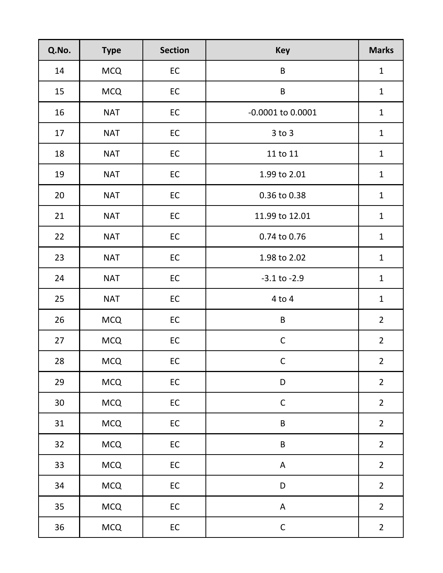| Q.No. | <b>Type</b> | <b>Section</b> | <b>Key</b>            | <b>Marks</b>   |
|-------|-------------|----------------|-----------------------|----------------|
| 14    | <b>MCQ</b>  | EC             | $\sf B$               | $\mathbf{1}$   |
| 15    | <b>MCQ</b>  | EC             | $\sf B$               | $\mathbf{1}$   |
| 16    | <b>NAT</b>  | $\mathsf{EC}$  | $-0.0001$ to $0.0001$ | $\mathbf{1}$   |
| 17    | <b>NAT</b>  | EC             | $3$ to $3$            | $\mathbf{1}$   |
| 18    | <b>NAT</b>  | EC             | 11 to 11              | $\mathbf{1}$   |
| 19    | <b>NAT</b>  | EC             | 1.99 to 2.01          | $\mathbf{1}$   |
| 20    | <b>NAT</b>  | $\mathsf{EC}$  | 0.36 to 0.38          | $\mathbf{1}$   |
| 21    | <b>NAT</b>  | $\mathsf{EC}$  | 11.99 to 12.01        | $\mathbf{1}$   |
| 22    | <b>NAT</b>  | EC             | 0.74 to 0.76          | $\mathbf{1}$   |
| 23    | <b>NAT</b>  | EC             | 1.98 to 2.02          | $\mathbf{1}$   |
| 24    | <b>NAT</b>  | EC             | $-3.1$ to $-2.9$      | $\mathbf{1}$   |
| 25    | <b>NAT</b>  | $\mathsf{EC}$  | $4$ to $4$            | $\mathbf{1}$   |
| 26    | <b>MCQ</b>  | EC             | $\sf B$               | $\overline{2}$ |
| 27    | <b>MCQ</b>  | EC             | $\mathsf C$           | $\overline{2}$ |
| 28    | <b>MCQ</b>  | EC             | $\mathsf{C}$          | $\overline{2}$ |
| 29    | <b>MCQ</b>  | ${\sf EC}$     | D                     | $\overline{2}$ |
| 30    | <b>MCQ</b>  | ${\sf EC}$     | $\mathsf C$           | $\overline{2}$ |
| 31    | <b>MCQ</b>  | ${\sf EC}$     | $\sf B$               | $\overline{2}$ |
| 32    | <b>MCQ</b>  | ${\sf EC}$     | $\sf B$               | $\overline{2}$ |
| 33    | <b>MCQ</b>  | EC             | A                     | $\overline{2}$ |
| 34    | <b>MCQ</b>  | ${\sf EC}$     | D                     | $\overline{2}$ |
| 35    | <b>MCQ</b>  | ${\sf EC}$     | A                     | $\overline{2}$ |
| 36    | <b>MCQ</b>  | ${\sf EC}$     | $\mathsf C$           | $\mathbf 2$    |